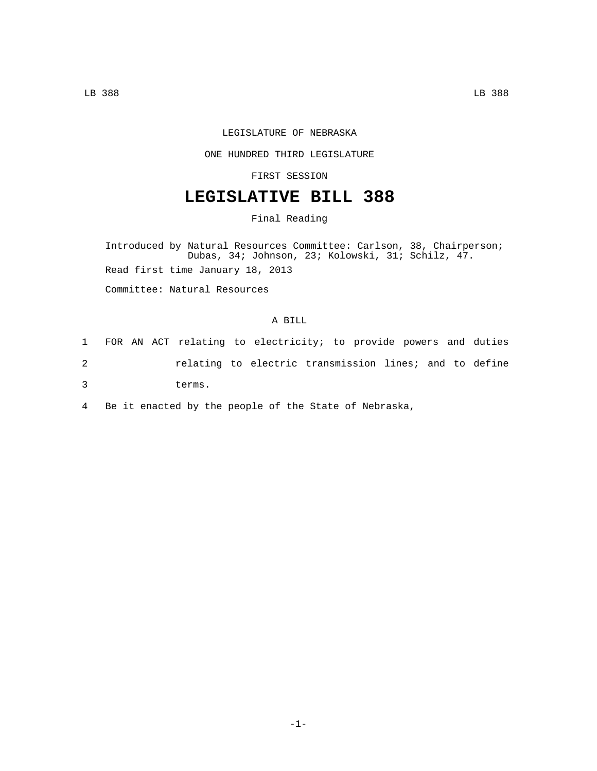## LEGISLATURE OF NEBRASKA

## ONE HUNDRED THIRD LEGISLATURE

FIRST SESSION

## **LEGISLATIVE BILL 388**

Final Reading

Introduced by Natural Resources Committee: Carlson, 38, Chairperson; Dubas, 34; Johnson, 23; Kolowski, 31; Schilz, 47. Read first time January 18, 2013

Committee: Natural Resources

## A BILL

|   |  | 1 FOR AN ACT relating to electricity; to provide powers and duties |  |  |  |  |  |
|---|--|--------------------------------------------------------------------|--|--|--|--|--|
|   |  | relating to electric transmission lines; and to define             |  |  |  |  |  |
| 3 |  | terms.                                                             |  |  |  |  |  |

4 Be it enacted by the people of the State of Nebraska,